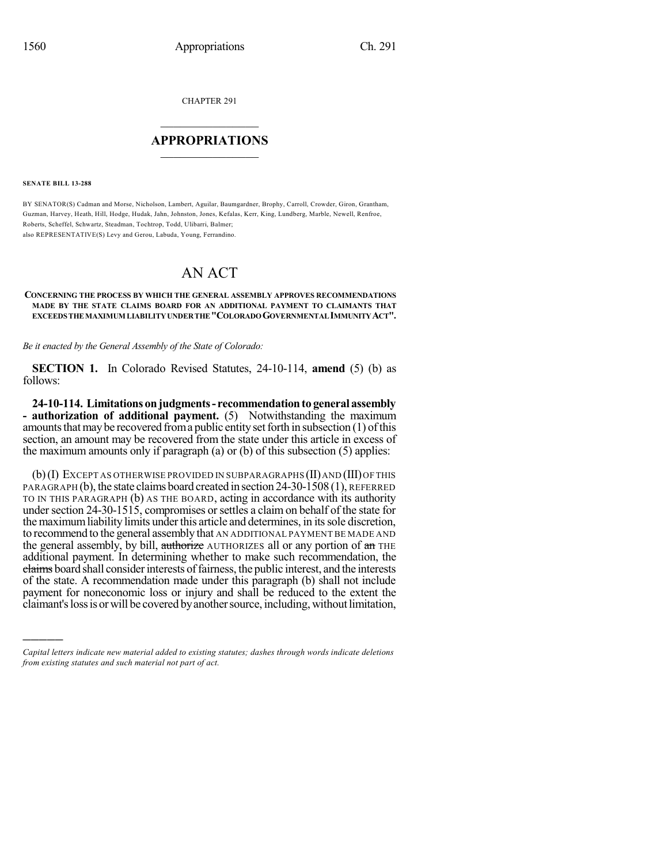CHAPTER 291

## $\overline{\phantom{a}}$  . The set of the set of the set of the set of the set of the set of the set of the set of the set of the set of the set of the set of the set of the set of the set of the set of the set of the set of the set o **APPROPRIATIONS**  $\_$   $\_$   $\_$   $\_$   $\_$   $\_$   $\_$   $\_$

**SENATE BILL 13-288**

)))))

BY SENATOR(S) Cadman and Morse, Nicholson, Lambert, Aguilar, Baumgardner, Brophy, Carroll, Crowder, Giron, Grantham, Guzman, Harvey, Heath, Hill, Hodge, Hudak, Jahn, Johnston, Jones, Kefalas, Kerr, King, Lundberg, Marble, Newell, Renfroe, Roberts, Scheffel, Schwartz, Steadman, Tochtrop, Todd, Ulibarri, Balmer; also REPRESENTATIVE(S) Levy and Gerou, Labuda, Young, Ferrandino.

## AN ACT

## **CONCERNING THE PROCESS BY WHICH THE GENERAL ASSEMBLY APPROVES RECOMMENDATIONS MADE BY THE STATE CLAIMS BOARD FOR AN ADDITIONAL PAYMENT TO CLAIMANTS THAT EXCEEDS THE MAXIMUM LIABILITYUNDERTHE "COLORADOGOVERNMENTAL IMMUNITYACT".**

*Be it enacted by the General Assembly of the State of Colorado:*

**SECTION 1.** In Colorado Revised Statutes, 24-10-114, **amend** (5) (b) as follows:

**24-10-114. Limitations onjudgments- recommendationto general assembly - authorization of additional payment.** (5) Notwithstanding the maximum amounts that may be recovered from a public entity set forth in subsection  $(1)$  of this section, an amount may be recovered from the state under this article in excess of the maximum amounts only if paragraph (a) or (b) of this subsection (5) applies:

 $(b)(I)$  Except as otherwise provided in subparagraphs  $(II)$  and  $(III)$  of this PARAGRAPH (b), the state claims board created in section 24-30-1508 (1), REFERRED TO IN THIS PARAGRAPH (b) AS THE BOARD, acting in accordance with its authority under section 24-30-1515, compromises or settles a claim on behalf of the state for the maximum liability limits under this article and determines, in its sole discretion, to recommend to the general assembly that AN ADDITIONAL PAYMENT BE MADE AND the general assembly, by bill, authorize AUTHORIZES all or any portion of an THE additional payment. In determining whether to make such recommendation, the claims board shall consider interests of fairness, the public interest, and the interests of the state. A recommendation made under this paragraph (b) shall not include payment for noneconomic loss or injury and shall be reduced to the extent the claimant's loss is or will be covered by another source, including, without limitation,

*Capital letters indicate new material added to existing statutes; dashes through words indicate deletions from existing statutes and such material not part of act.*